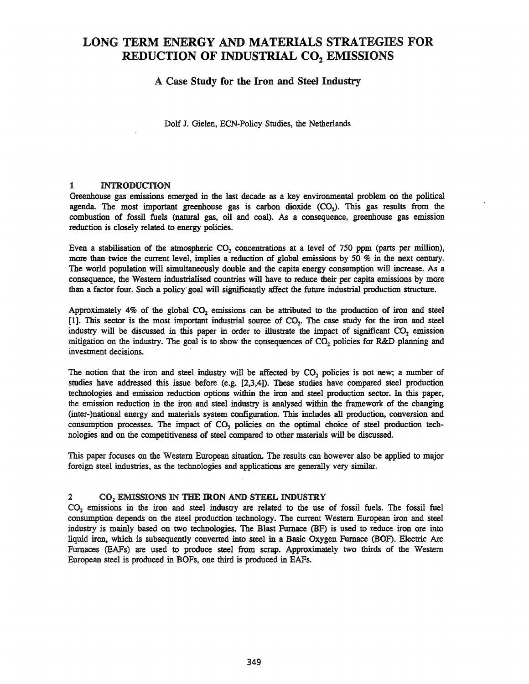# LONG TERM ENERGY AND MATERIALS STRATEGIES FOR REDUCTION OF INDUSTRIAL CO<sub>2</sub> EMISSIONS

# A Case Study for the Iron and Steel Industry

DoIf J. Gielen, ECN-Policy Studies, the Netherlands

#### 1 INTRODUCTION

Greenhouse gas emissions emerged in the last decade as a key environmental problem on the political agenda. The most important greenhouse gas is carbon dioxide  $(CO<sub>2</sub>)$ . This gas results from the combustion of fossil fuels (natural gas, oil and coal). As a consequence, greenhouse gas emission reduction is closely related to energy policies.

Even a stabilisation of the atmospheric CO<sub>2</sub> concentrations at a level of 750 ppm (parts per million), more than twice the current level, implies a reduction of global emissions by 50 % in the next century. The world population will simultaneously double and the capita energy consumption will increase. As a consequence, the Western industrialised countries will have to reduce their per capita emissions by more than a factor four. Such a policy' goal will significantly affect the future industrial production structure.

Approximately  $4\%$  of the global CO<sub>2</sub> emissions can be attributed to the production of iron and steel [1]. This sector is the most important industrial source of  $CO<sub>2</sub>$ . The case study for the iron and steel industry will be discussed in this paper in order to illustrate the impact of significant  $CO<sub>2</sub>$  emission mitigation on the industry. The goal is to show the consequences of  $CO<sub>2</sub>$  policies for R&D planning and investment decisions.

The notion that the iron and steel industry will be affected by  $CO<sub>2</sub>$  policies is not new; a number of studies have addressed this issue before (e.g. [2,3,4]). These studies have compared steel production technologies and emission reduction options within the iron and steel production sector. In this paper, the emission reduction in the iron and steel industry is analysed within the framework of the changing (inter-)national energy and materials system configuration. This includes all production, conversion and consumption processes. The impact of  $CO<sub>2</sub>$  policies on the optimal choice of steel production technologies and on the competitiveness of steel compared to other materials will be discussed.

This paper focuses on the Western European situation. The results can however also be applied to major foreign steel industries, as the technologies and applications are generally very similar.

# 2 CO<sub>2</sub> EMISSIONS IN THE IRON AND STEEL INDUSTRY

CO<sub>2</sub> emissions in the iron and steel industry are related to the use of fossil fuels. The fossil fuel consumption depends on the steel production technology. The current Western European iron and steel industry is mainly based on two technologies. The Blast Furnace (BF) is used to reduce iron ore into liquid iron, which is subsequently converted into steel in a Basic Oxygen Furnace (BOF). Electric Arc Furnaces (EAFs) are used to produce steel from scrap. Approximately two thirds of the Western European steel is produced in BOFs, one third is produced in EAFs.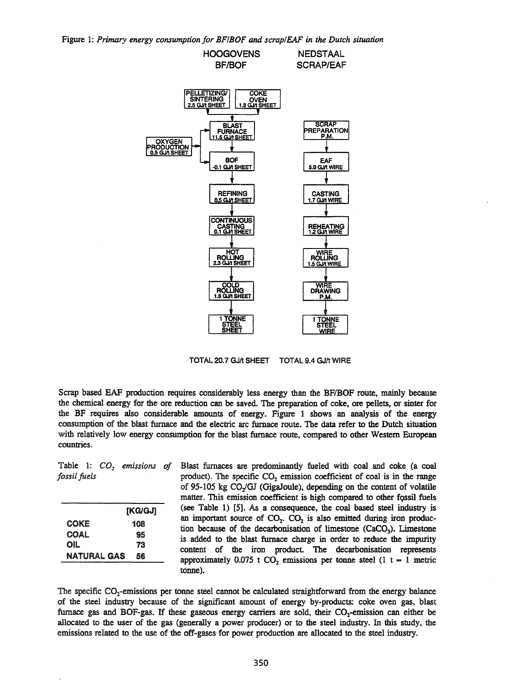Figure 1: *Primary energy consumption for BF/BOF and scrap/EAF in the Dutch situation*



TOTAL 20.7 GJ/t SHEET TOTAL 9.4 GJ/t WIRE

Scrap based EAF production requires considerably less energy than the BFIBOF route, mainly because the chemical energy for the ore reduction can be saved. The preparation of coke, ore pellets, or sinter for the BF requires also considerable amounts of energy. Figure 1 shows an analysis of the energy consumption of the blast furnace and the electric arc furnace route. The data refer to the Dutch situation with relatively low energy consumption for the blast furnace route, compared to other Western European countries.

Table 1:  $CO<sub>2</sub>$  *emissions of fossil fuels*

|             | [ƘG/GJ] |
|-------------|---------|
| COKE        | 108     |
| COAL        | 95      |
| OIL         | 73      |
| NATURAL GAS | 56      |

Blast furnaces are predominantly fueled with coal and coke (a coal product). The specific  $CO<sub>2</sub>$  emission coefficient of coal is in the range of 95-105 kg CO/OJ (GigaJoule), depending on the content of volatile matter. This emission coefficient is high compared to other fossil fuels (see Table 1) [5]. As a consequence, the coal based steel industry is an important source of  $CO<sub>2</sub>$ .  $CO<sub>2</sub>$  is also emitted during iron production because of the decarbonisation of limestone  $(CaCO<sub>3</sub>)$ . Limestone is added to the blast furnace charge in order to reduce the impurity content of the iron product The decarbonisation represents approximately 0.075 t  $CO<sub>2</sub>$  emissions per tonne steel (1 t = 1 metric tonne).

The specific  $CO<sub>2</sub>$ -emissions per tonne steel cannot be calculated straightforward from the energy balance of the steel industry because of the significant amount of energy by-products: coke oven gas, blast furnace gas and BOF-gas. If these gaseous energy carriers are sold, their  $CO<sub>2</sub>$ -emission can either be allocated to the user of the gas (generally a power producer) or to the steel industry. In this study, the emissions related to the use of the off-gases for power production are allocated to the steel industry.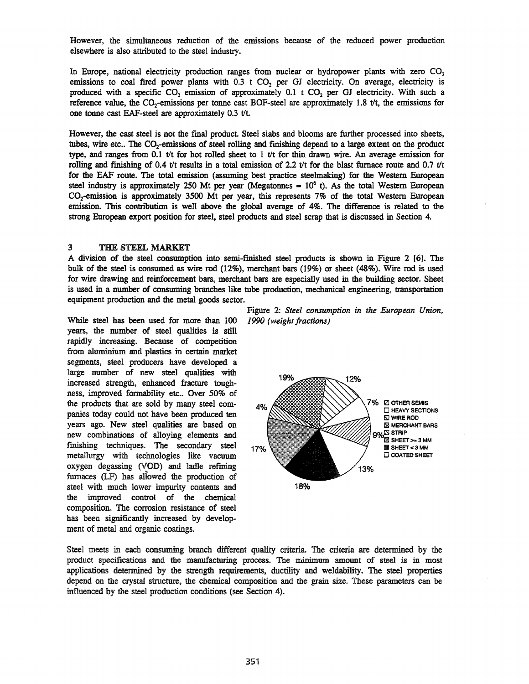However, the simultaneous reduction of the ermsslons because of the reduced power production elsewhere is also attributed to the steel industry.

In Europe, national electricity production ranges from nuclear or hydropower plants with zero  $CO<sub>2</sub>$ emissions to coal fired power plants with  $0.3$  t CO<sub>2</sub> per GJ electricity. On average, electricity is produced with a specific  $CO_2$  emission of approximately 0.1 t  $CO_2$  per GJ electricity. With such a reference value, the CO<sub>2</sub>-emissions per tonne cast BOF-steel are approximately 1.8  $t/t$ , the emissions for one tonne cast EAF-steel are approximately  $0.3$  t/t.

However, the cast steel is not the fmal product Steel slabs and blooms are further processed into sheets, tubes, wire etc.. The CO<sub>2</sub>-emissions of steel rolling and finishing depend to a large extent on the product type, and ranges from 0.1 *tit* for hot rolled sheet to 1 *tit* for thin drawn wire. An average emission for rolling and finishing of 0.4 *tit* results in a total emission of 2.2 *tit* for the blast furnace route and 0.7 *tit* for the EAP route. The total emission (assuming best practice steelmaking) for the Western European steel industry is approximately 250 Mt per year (Megatonnes  $= 10^6$  t). As the total Western European CO2-emission is approximately 3500 Mt per year, this represents 7% of the total Western European emission. This contribution is well above the global average of 4%. The difference is related to the strong European export position for steel, steel products and steel scrap that is discussed in Section 4.

#### 3 THE STEEL MARKET

A division of the steel consumption into semi-finished steel products is shown in Figure 2 [6]. The bulk of the steel is consumed as wire rod (12%), merchant bars (19%) or sheet (48%). Wire rod is used for wire drawing and reinforcement bars, merchant bars are especially used in the building sector. Sheet is used in a number of consuming branches like tube production, mechanical engineering, transportation equipment production and the metal goods sector.

While steel has been used for more than 100 *1990 (weight fractions)* years, the number of steel qualities is still rapidly increasing. Because of competition from aluminium and plastics in certain market segments, steel producers have developed a large number of new steel qualities with increased strength, enhanced fracture toughness, improved formability etc.. Over 50% of the products that are sold by many steel companies today could not have been produced ten years ago. New steel qualities are based on new combinations of alloying elements and finishing techniques. The secondary steel metallurgy with technologies like vacuum oxygen degassing (VOD) and ladle refining furnaces (LF) has aliowed the production of steel with much lower impurity contents and the improved control of the chemical composition. The corrosion resistance of steel has been significantly increased by development of metal and organic coatings.

Figure 2: *Steel consumption in the European Union,*



Steel meets in each consuming branch different quality criteria. The criteria are determined by the product specifications and the manufacturing process. The minimum amount of steel is in most applications determined by the strength requirements, ductility and weldability. The steel properties depend on the crystal structure, the chemical composition and the grain size. These parameters can be influenced by the steel production conditions (see Section 4).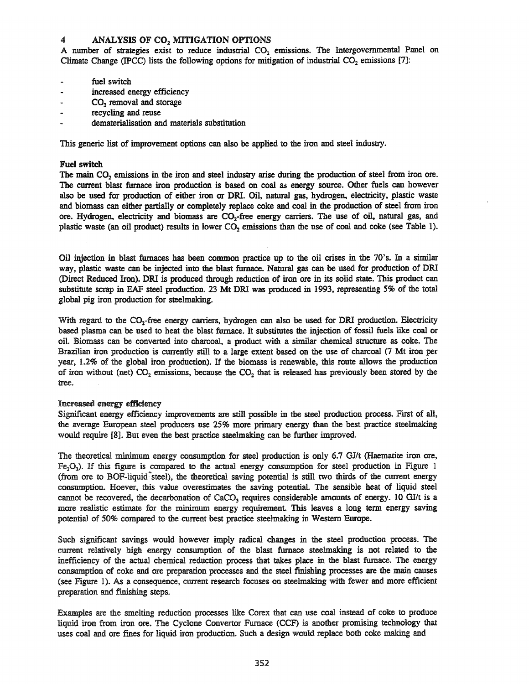# 4 ANALYSIS OF CO<sub>2</sub> MITIGATION OPTIONS

A number of strategies exist to reduce industrial  $CO<sub>2</sub>$  emissions. The Intergovernmental Panel on Climate Change (IPCC) lists the following options for mitigation of industrial  $CO<sub>2</sub>$  emissions [7]:

- fuel switch
- increased energy efficiency
- CO<sub>2</sub> removal and storage
- recycling and reuse
- dematerialisation and materials substitution

This generic list of improvement options can also be applied to the iron and steel industry.

#### Fuel switch

The main  $CO<sub>2</sub>$  emissions in the iron and steel industry arise during the production of steel from iron ore. The current blast furnace iron production is based on coal as energy source. Other fuels can however also be used for production of either iron or DR!. Oil, natural gas, hydrogen, electricity, plastic waste and biomass can either partially or completely replace coke and coal in the production of steel from iron ore. Hydrogen, electricity and biomass are CO<sub>2</sub>-free energy carriers. The use of oil, natural gas, and plastic waste (an oil product) results in lower CO<sub>2</sub> emissions than the use of coal and coke (see Table 1).

Oil injection in blast furnaces has been common practice up to the oil crises in the 70's. In a similar way, plastic waste can be injected into the blast furnace. Natural gas can be used for production of DR! (Direct Reduced Iron). DRI is produced through reduction of iron ore in its solid state. This product can substitute scrap in EAF steel production. 23 Mt DR! was produced in 1993, representing 5% of the total global pig iron production for steelmaking.

With regard to the CO<sub>2</sub>-free energy carriers, hydrogen can also be used for DRI production. Electricity based plasma can be used to heat the blast furnace. It substitutes the injection of fossil fuels like coal or oil. Biomass can be converted into charcoal, a product with a similar chemical structure as coke. The Brazilian iron production is currently still to a large extent based on the use of charcoal (7 Mt iron per year, 1.2% of the global iron production). If the biomass is renewable, this route allows the production of iron without (net)  $CO_2$  emissions, because the  $CO_2$  that is released has previously been stored by the tree.

#### Increased energy efficiency

Significant energy efficiency improvements are still possible in the steel production process. First of all, the average European steel producers use 25% more primary energy than the best practice steelmaking would require [8]. But even the best practice steelmaking can be further improved.

The theoretical minimum energy consumption for steel production is only 6.7 *GIlt* (Haematite iron ore,  $Fe<sub>2</sub>O<sub>3</sub>$ ). If this figure is compared to the actual energy consumption for steel production in Figure 1 (from ore to BOF-liquid~steel), the theoretical saving potential is still two thirds of the current energy consumption. Hoever, this value overestimates the saving potential. The sensible heat of liquid steel cannot be recovered, the decarbonation of CaCO<sub>3</sub> requires considerable amounts of energy. 10 *GI/t* is a more realistic estimate for the minimum energy requirement. This leaves a long term energy saving potential of 50% compared to the current best practice steelmaking in Western Europe.

Such significant savings would however imply radical changes in the steel production process. The current relatively high energy consumption of the blast furnace steelmaking is not related to the inefficiency of the actual chemical reduction process that takes place in the blast furnace. The energy consumption of coke and ore preparation processes and the steel finishing processes are the main causes (see Figure 1). As a consequence, current research focuses on steelmaking with fewer and more efficient preparation and finishing steps.

Examples are the smelting reduction processes like Corex that can use coal instead of coke to produce liquid iron from iron ore. The Cyclone Convertor Furnace (CCF) is another promising technology that uses coal and ore fines for liquid iron production. Such a design would replace both coke making and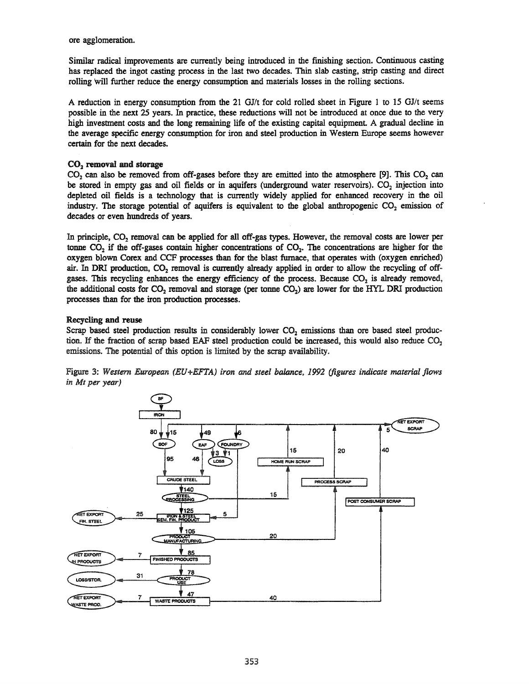ore agglomeration.

Similar radical improvements are currently being introduced in the finishing section. Continuous casting has replaced the ingot casting process in the last two decades. Thin slab casting, strip casting and direct rolling 'will further reduce the energy consumption and materials losses in the rolling sections.

A reduction in energy consumption from the 21 *GIlt* for cold rolled sheet in Figure 1 to 15 *GJ/t* seems possible in the next 25 years. In practice, these reductions will not be introduced at once due to the very high investment costs and the long remaining life of the existing capital equipment. A gradual decline in the average specific energy consumption for iron and steel production in Western Europe seems however certain for the next decades.

# $CO<sub>2</sub>$  removal and storage

 $CO<sub>2</sub>$  can also be removed from off-gases before they are emitted into the atmosphere [9]. This  $CO<sub>2</sub>$  can be stored in empty gas and oil fields or in aquifers (underground water reservoirs).  $CO<sub>2</sub>$  injection into depleted oil fields is a technology that is currently widely applied for enhanced recovery in the oil industry. The storage potential of aquifers is equivalent to the global anthropogenic  $CO_2$  emission of decades or even hundreds of years.

In principle,  $CO<sub>2</sub>$  removal can be applied for all off-gas types. However, the removal costs are lower per tonne  $CO<sub>2</sub>$  if the off-gases contain higher concentrations of  $CO<sub>2</sub>$ . The concentrations are higher for the oxygen blown Corex and CCF processes than for the blast furnace, that operates with (oxygen enriched) air. In DRI production,  $CO<sub>2</sub>$  removal is currently already applied in order to allow the recycling of offgases. This recycling enhances the energy efficiency of the process. Because  $CO<sub>2</sub>$  is already removed, the additional costs for  $CO_2$  removal and storage (per tonne  $CO_2$ ) are lower for the HYL DRI production processes than for the iron production processes.

# Recycling and reuse

Scrap based steel production results in considerably lower  $CO<sub>2</sub>$  emissions than ore based steel production. If the fraction of scrap based EAF steel production could be increased, this would also reduce  $CO<sub>2</sub>$ emissions. The potential of this option is limited by the scrap availability.



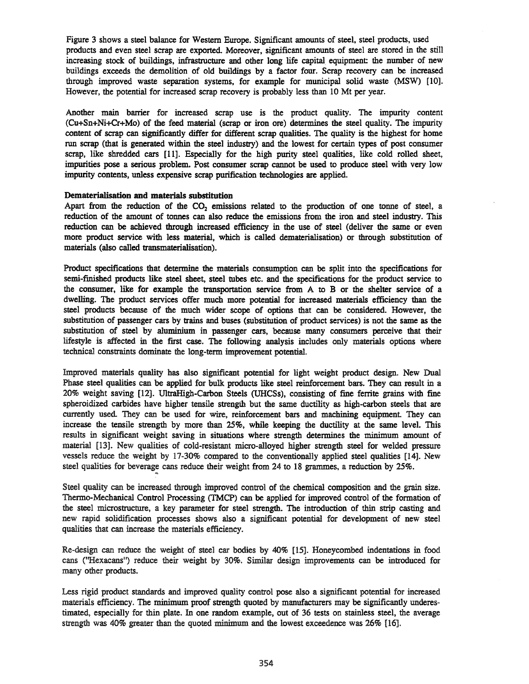Figure 3 shows a steel balance for Western Europe. Significant amounts of steel, steel products, used products and even steel scrap are exported. Moreover, significant amounts of steel are stored in the still increasing stock of buildings, infrastructure and other long life capital equipment: the number of new buildings exceeds the demolition of old buildings by a factor four. Scrap recovery can be increased through improved waste separation systems, for example for municipal solid waste (MSW) [10]. However, the potential for increased scrap recovery is probably less than 10 Mt per year.

Another main barrier for increased scrap use is the product quality. The impurity content (Cu+Sn+Ni+Cr+Mo) of the feed material (scrap or iron ore) determines the steel quality. The impurity content of scrap can significantly differ for different scrap qualities. The quality is the highest for home run scrap (that is generated within the steel industry) and the lowest for certain types of post consumer scrap, like shredded cars [11]. Especially for the high purity steel qualities, like cold rolled sheet, impurities pose a serious problem. Post consumer scrap cannot be used to produce steel with very low impurity contents, unless expensive scrap purification technologies are applied.

#### Dematerialisation and materials substitution

Apart from the reduction of the CO<sub>2</sub> emissions related to the production of one tonne of steel, a reduction of the amount of tonnes can also reduce the emissions from the iron and steel industry. This reduction can be achieved through increased efficiency in the use of steel (deliver the same or even more product service with less material, which is called dematerialisation) or through substitution of materials (also called transmaterialisation).

Product specifications that determine the materials consumption can be split into the specifications for semi-finished products like steel sheet, steel mbes etc. and the specifications for the product service to the consumer, like for example the transportation service from A to B or the shelter service of a dwelling. The product services offer much more potential for increased materials efficiency than the steel products because of the much wider scope of options that can be considered. However, the substimtion of passenger cars by trains and buses (substimtion of product services) is not the same as the substimtion of steel by aluminium in passenger cars, because many consumers perceive that their lifestyle is affected in the frrst case. The following analysis includes only materials options where technical constraints dominate the long-term improvement potential.

Improved materials quality has also significant potential for light weight product design. New Dual Phase steel qualities can be applied for bulk products like steel reinforcement bars. They can result in a 20% weight saving [12]. UltraHigh-Carbon Steels (UHCSs), consisting of fine ferrite grains with fine spheroidized carbides have higher tensile strength but the same ductility as high-carbon steels that are currently used. They can be used for wire, reinforcement bars and machining equipment They can increase the tensile strength by more than 25%, while keeping the ductility at the same level. This results in significant weight saving in simations where strength determines the minimum amount of material [13]. New qualities of cold-resistant micro-alloyed higher strength steel for welded pressure vessels reduce the weight by 17-30% compared to the conventionally applied steel qualities [14]. New steel qualities for beverage cans reduce their weight from 24 to 18 grammes, a reduction by 25%.

Steel quality can be increased through improved control of the chemical composition and the grain size. Thermo-Mechanical Control Processing (TMCP) can be applied for improved control of the formation of the steel microstrocture, a key parameter for steel strength. The introduction of thin strip casting and new rapid solidification processes shows also a significant potential for development of new steel qualities that can increase the materials efficiency.

Re-design can reduce the weight of steel car bodies by 40% [15]. Honeycombed indentations in food cans (''Hexacans'') reduce their weight by 30%. Similar design improvements can be introduced for many other products.

Less rigid product standards and improved quality control pose also a significant potential for increased materials efficiency. The minimum proof strength quoted by manufacturers may be significantly underestimated, especially for thin plate. In one random example, out of 36 tests on stainless steel, the average strength was 40% greater than the quoted minimum and the lowest exceedence was 26% [16].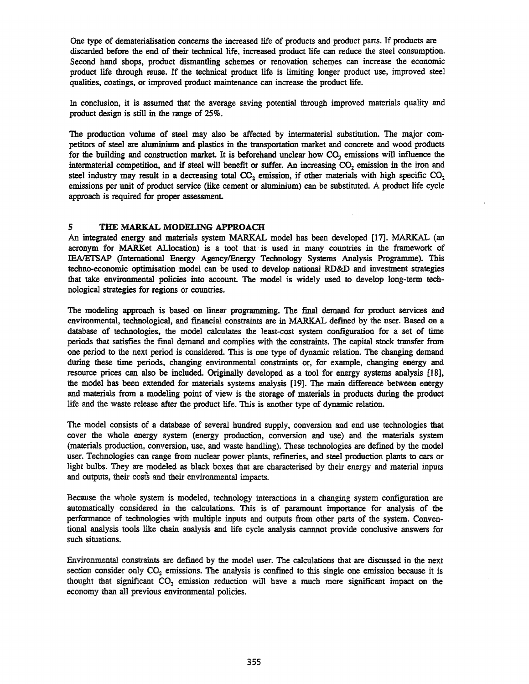One type of dematerialisation concerns the increased life of products and product parts. If products are discarded before the end of their technical life, increased product life can reduce the steel consumption. Second hand shops, product dismantling schemes or renovation schemes can increase the economic product life through reuse. If the technical product life is limiting longer product use, improved steel qualities, coatings, or improved product maintenance can increase the product life.

In conclusion, it is assumed that the average saving potential through improved materials quality and product design is still in the range of 25%.

The production volume of steel may also be affected by intermaterial substitution. The major competitors of steel are aluminium and plastics in the transportation market and concrete and wood products for the building and construction market. It is beforehand unclear how CO<sub>2</sub> emissions will influence the intermaterial competition, and if steel will benefit or suffer. An increasing  $CO<sub>2</sub>$  emission in the iron and steel industry may result in a decreasing total  $CO_2$  emission, if other materials with high specific  $CO_2$ emissions per unit of product service (like cement or aluminium) can be substituted. A product life cycle approach is required for proper assessment

# 5 THE MARKAL MODELING APPROACH

An integrated energy and materials system MARKAL model has been developed [17]. MARKAL (an acronym for MARKet ALlocation) is a tool that is used in many countries in the framework of *IEAlETSAP* (International Energy AgencylEnergy Technology Systems Analysis Programme). This techno-economic optimisation model can be used to develop national RD&D and investment strategies that take environmental policies into account The model is widely used to develop long-term technological strategies for regions or countries.

The modeling approach is based on linear programming. The final demand for product services and environmental, technological, and financial constraints are in MARKAL defined by the user. Based on a database of technologies, the model calculates the least-cost system configuration for a set of time periods that satisfies the fmal demand and complies with the constraints. The capital stock transfer from one period to the next period is considered. This is one type of dynamic relation. The changing demand during these time periods, changing environmental constraints or, for example, changing energy and resource prices can also be included. Originally developed as a tool for energy systems analysis [18], the model has been extended for materials systems analysis [19]. The main difference between energy and materials from a modeling point of view is the storage of materials in products during the product life and the waste release after the product life. This is another type of dynamic relation.

The model consists of a database of several hundred supply, conversion and end use technologies that cover the whole energy system (energy production, conversion and use) and the materials system (materials production, conversion, use, and waste handling). These technologies are defmed by the model user. Technologies can range from nuclear power plants, refineries, and steel production plants to cars or light bulbs. They are modeled as black boxes that are characterised by their energy and material inputs and outputs, their costs and their environmental impacts.

Because the whole system is modeled, technology interactions in a changing system configuration are automatically considered in the calculations. This is of paramount importance for analysis of the performance of technologies with multiple inputs and outputs from other parts of the system. Conventional analysis tools like chain analysis and life cycle analysis cannnot provide conclusive answers for such situations.

Environmental constraints are defmed by the model user. The calculations that are discussed in the next section consider only  $CO_2$  emissions. The analysis is confined to this single one emission because it is thought that significant  $CO<sub>2</sub>$  emission reduction will have a much more significant impact on the economy than all previous environmental policies.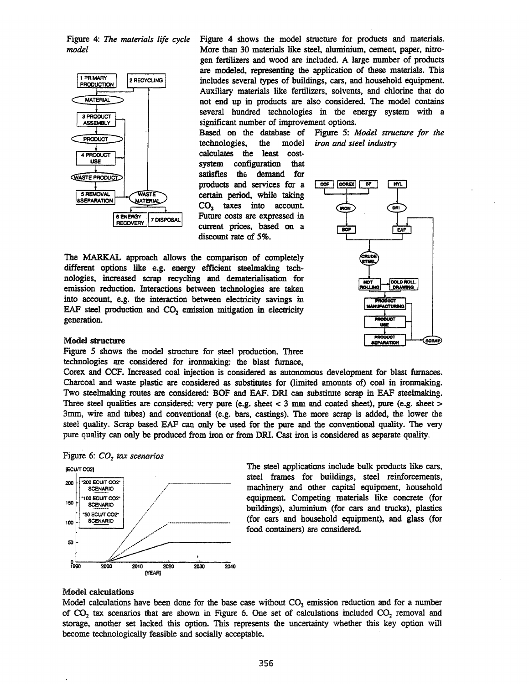Figure 4: *The materials life cycle model*



Figure 4 shows the model structure for products and materials. More than 30 materials like steel, aluminium, cement, paper, nitrogen fertilizers and wood are included. A large number of products are modeled, representing the application of these materials. This includes several types of buildings, cars, and household equipment Auxiliary materials like fertilizers, solvents, and chlorine that do not end up in products are also considered. The model contains several hundred technologies in the energy system with a significant number of improvement options.

Based on the database of Figure 5: *Model structure for the* technologies, the model *iron and steel industry* calculates the least costsystem configuration that satisfies the demand for products and services for a certain period, while taking  $CO<sub>2</sub>$  taxes into account. Future costs are expressed in current prices, based on a discount rate of 5%.



#### Model structure

generation.

Figure 5 shows the model structure for steel production. Three technologies are considered for ironmaking: the blast furnace,

The MARKAL approach allows the comparison of completely different options like e.g. energy efficient steelmaking technologies, increased scrap recycling and dematerialisation for emission reduction. Interactions between technologies are taken into account, e.g. the interaction between electricity savings in EAF steel production and  $CO<sub>2</sub>$  emission mitigation in electricity

Corex and CCF. Increased coal injection is considered as autonomous development for blast furnaces. Charcoal and waste plastic are considered as substitutes for (limited amounts of) coal in ironmaking. Two steelmaking routes are considered: BOF and EAF. DR! can substitute scrap in EAF steelmaking. Three steel qualities are considered: very pure (e.g. sheet < 3 mm and coated sheet), pure (e.g. sheet> 3mm, wire and tubes) and conventional (e.g. bars, castings). The more scrap is added, the lower the steel quality. Scrap based EAF can only be used for the pure and the conventional quality. The very pure quality can only be produced from iron or from DR!. Cast iron is considered as separate quality.





The steel applications include bulk products like cars, steel frames for buildings, steel reinforcements, machinery and other capital equipment, household equipment. Competing materials like concrete (for buildings), aluminium (for cars and trucks), plastics (for cars and household equipment), and glass (for food containers) are considered

#### Model calculations

Model calculations have been done for the base case without  $CO<sub>2</sub>$  emission reduction and for a number of  $CO<sub>2</sub>$  tax scenarios that are shown in Figure 6. One set of calculations included  $CO<sub>2</sub>$  removal and storage, another set lacked this option. This represents the uncertainty whether this key option will become technologically feasible and socially acceptable.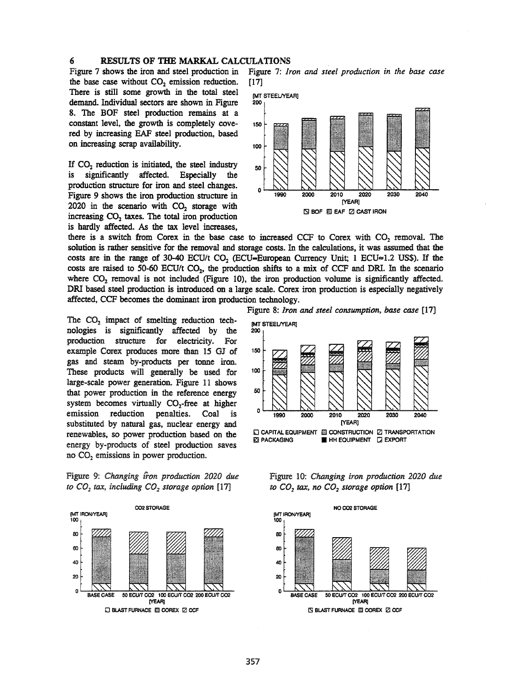#### 6 RESULTS OF THE MARKAL CALCULATIONS

the base case without  $CO<sub>2</sub>$  emission reduction. [17] There is still some growth in the total steel MT STEELNEARJ demand. Individual sectors are shown in Figure 200 8. The BOF steel production remains at a constant level, the growth is completely cove- <sup>150</sup> red by increasing EAF steel production, based on increasing scrap availability. 100

If  $CO<sub>2</sub>$  reduction is initiated, the steel industry<br>is significantly affected. Especially the is significantly affected. Especially the production structure for iron and steel changes. Figure 9 shows the iron production structure in  $2020$  in the scenario with  $CO<sub>2</sub>$  storage with increasing  $CO<sub>2</sub>$  taxes. The total iron production is hardly affected. As the tax level increases,

Figure 7 shows the iron and steel production in Figure 7: *Iron and steel production in the base case*



there is a switch from Corex in the base case to increased CCF to Corex with  $CO<sub>2</sub>$  removal. The solution is rather sensitive for the removal and storage costs. In the calculations, it was assumed that the costs are in the range of 30-40 *ECU/t* CO<sub>2</sub> (*ECU*=*European Currency Unit*; 1 *ECU*=1.2 US\$). If the costs are raised to 50-60 *ECU/t CO<sub>2</sub>*, the production shifts to a mix of CCF and DRI. In the scenario where  $CO_2$  removal is not included (Figure 10), the iron production volume is significantly affected. DRI based steel production is introduced on a large scale. Corex iron production is especially negatively affected, CCF becomes the dominant iron production technology.

The  $CO<sub>2</sub>$  impact of smelting reduction technologies is significantly affected by the production structure for electricity. For example Corex produces more than 15 OJ of gas and steam by-products per tonne iron. These products will generally be used for large-scale power generation. Figure 11 shows that power production in the reference energy system becomes virtually CO<sub>2</sub>-free at higher emission reduction penalties. Coal is substituted by natural gas, nuclear energy and renewables, so power production based on the energy by-products of steel production saves no  $CO<sub>2</sub>$  emissions in power production.

Figure 9: *Changing {ron production 2020 due to*  $CO<sub>2</sub>$  *tax, including*  $CO<sub>2</sub>$  *storage option* [17]



Figure 8: *Iron and steel consumption, base case [17]*



Figure 10: *Changing iron production 2020 due to*  $CO<sub>2</sub>$  *tax,* no  $CO<sub>2</sub>$  *storage option* [17]

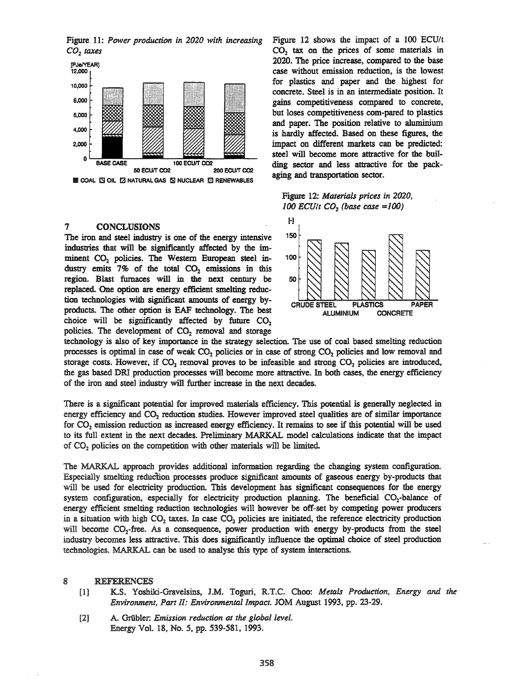Figure 11: *Power production in 2020 with increasing CO2 taxes*



<sup>7</sup> CONCLUSIONS <sup>[-]</sup><br>The iron and steel industry is one of the energy intensive 150 The iron and steel industry is one of the energy intensive industries that will be significantly affected by the imminent  $CO<sub>2</sub>$  policies. The Western European steel in- 100 dustry emits 7% of the total  $CO<sub>2</sub>$  emissions in this region. Blast furnaces will in the next century be replaced. One option are energy efficient smelting reduction technologies with significant amounts of energy byproducts. The other option is EAF technology. The best choice will be significantly affected by future  $CO<sub>2</sub>$ policies. The development of  $CO<sub>2</sub>$  removal and storage

Figure 12 shows the impact of a 100 ECU/t CO<sub>2</sub> tax on the prices of some materials in 2020. The price increase, compared to the base case without emission reduction, is the lowest for plastics and paper and the highest for concrete. Steel is in an intermediate position. It gains competitiveness compared to concrete, but loses competitiveness com-pared to plastics and paper. The position relative to aluminium is hardly affected. Based on these figures, the impact on different markets can be predicted: steel will become more attractive for the building sector and less attractive for the packaging and transportation sector.

#### Figure 12: *Materials prices in 2020, 100 ECUIt CO2 (base case ==100)*



technology is also of key importance in the strategy selection. The use of coal based smelting reduction processes is optimal in case of weak  $CO<sub>2</sub>$  policies or in case of strong  $CO<sub>2</sub>$  policies and low removal and storage costs. However, if  $CO<sub>2</sub>$  removal proves to be infeasible and strong  $CO<sub>2</sub>$  policies are introduced, the gas based DR! production processes will become more attractive. In both cases, the energy efficiency of the iron and steel industry will further increase in the next decades.

There is a significant potential for improved materials efficiency. This potential is generally neglected in energy efficiency and CO<sub>2</sub> reduction studies. However improved steel qualities are of similar importance for  $CO<sub>2</sub>$  emission reduction as increased energy efficiency. It remains to see if this potential will be used to its full extent in the next decades. Preliminary MARKAL model calculations indicate that the impact of  $CO<sub>2</sub>$  policies on the competition with other materials will be limited.

The MARKAL approach provides additional information regarding the changing system configuration. Especially smelting reduction processes produce significant amounts of gaseous energy by-products that will be used for electricity production. This development has significant consequences for the energy system configuration, especially for electricity production planning. The beneficial CO<sub>2</sub>-balance of energy efficient smelting reduction technologies will however be off-set by competing power producers in a situation with high  $CO<sub>2</sub>$  taxes. In case  $CO<sub>2</sub>$  policies are initiated, the reference electricity production will become CO<sub>2</sub>-free. As a consequence, power production with energy by-products from the steel industry becomes less attractive. This does significantly influence the optimal choice of steel production technologies. MARKAL can be used to analyse this type of system interactions.

#### 8 REFERENCES

- [1] K.S. Yosb.iki-Gravelsins, J.M. Toguri, R.T.C. Choo: *Metals Production, Energy and the Environment, Part II: Environmental Impact.* JOM August 1993, pp. 23-29.
- [2] A. Griibler: *Emission reduction at the global level.* Energy Vol. 18, No.5, pp. 539-581, 1993.